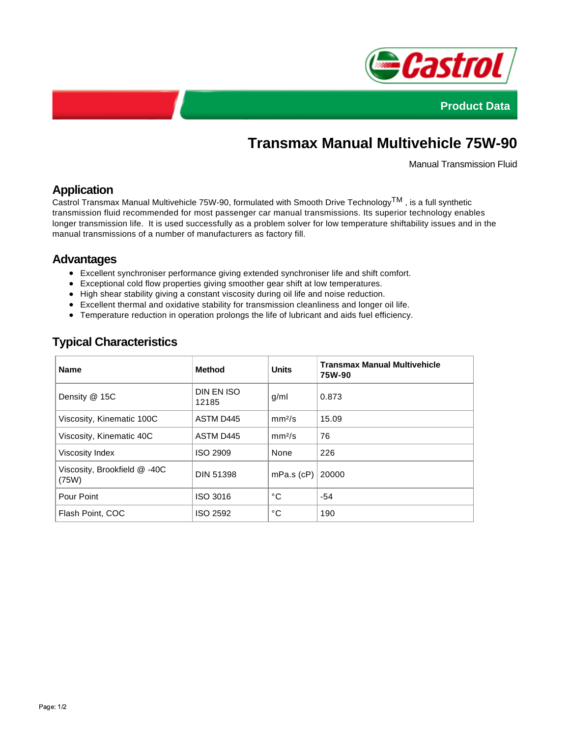



# **Transmax Manual Multivehicle 75W-90**

Manual Transmission Fluid

### **Application**

Castrol Transmax Manual Multivehicle 75W-90, formulated with Smooth Drive TechnologyTM , is a full synthetic transmission fluid recommended for most passenger car manual transmissions. Its superior technology enables longer transmission life. It is used successfully as a problem solver for low temperature shiftability issues and in the manual transmissions of a number of manufacturers as factory fill.

#### **Advantages**

- Excellent synchroniser performance giving extended synchroniser life and shift comfort.
- Exceptional cold flow properties giving smoother gear shift at low temperatures.
- High shear stability giving a constant viscosity during oil life and noise reduction.
- Excellent thermal and oxidative stability for transmission cleanliness and longer oil life.
- Temperature reduction in operation prolongs the life of lubricant and aids fuel efficiency.

## **Typical Characteristics**

| <b>Name</b>                           | <b>Method</b>       | <b>Units</b>       | <b>Transmax Manual Multivehicle</b><br>75W-90 |
|---------------------------------------|---------------------|--------------------|-----------------------------------------------|
| Density @ 15C                         | DIN EN ISO<br>12185 | g/ml               | 0.873                                         |
| Viscosity, Kinematic 100C             | ASTM D445           | mm <sup>2</sup> /s | 15.09                                         |
| Viscosity, Kinematic 40C              | ASTM D445           | mm <sup>2</sup> /s | 76                                            |
| Viscosity Index                       | <b>ISO 2909</b>     | None               | 226                                           |
| Viscosity, Brookfield @ -40C<br>(75W) | <b>DIN 51398</b>    | $mPa.s$ ( $cP$ )   | 20000                                         |
| Pour Point                            | ISO 3016            | °C                 | $-54$                                         |
| Flash Point, COC                      | ISO 2592            | °C                 | 190                                           |